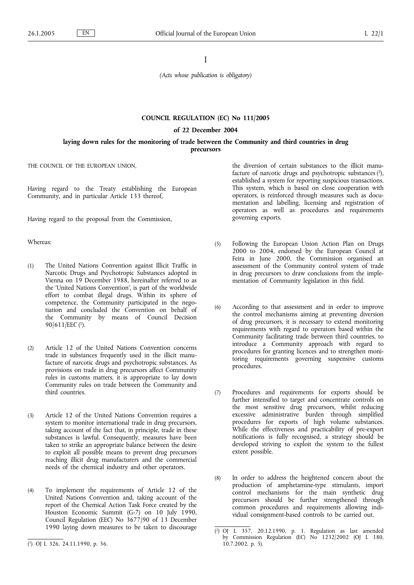I

*(Acts whose publication is obligatory)*

## **COUNCIL REGULATION (EC) No 111/2005**

### **of 22 December 2004**

## **laying down rules for the monitoring of trade between the Community and third countries in drug precursors**

THE COUNCIL OF THE EUROPEAN UNION,

Having regard to the Treaty establishing the European Community, and in particular Article 133 thereof,

Having regard to the proposal from the Commission,

# Whereas:

- (1) The United Nations Convention against Illicit Traffic in Narcotic Drugs and Psychotropic Substances adopted in Vienna on 19 December 1988, hereinafter referred to as the 'United Nations Convention', is part of the worldwide effort to combat illegal drugs. Within its sphere of competence, the Community participated in the negotiation and concluded the Convention on behalf of the Community by means of Council Decision 90/611/EEC (1).
- (2) Article 12 of the United Nations Convention concerns trade in substances frequently used in the illicit manufacture of narcotic drugs and psychotropic substances. As provisions on trade in drug precursors affect Community rules in customs matters, it is appropriate to lay down Community rules on trade between the Community and third countries.
- (3) Article 12 of the United Nations Convention requires a system to monitor international trade in drug precursors, taking account of the fact that, in principle, trade in these substances is lawful. Consequently, measures have been taken to strike an appropriate balance between the desire to exploit all possible means to prevent drug precursors reaching illicit drug manufacturers and the commercial needs of the chemical industry and other operators.
- (4) To implement the requirements of Article 12 of the United Nations Convention and, taking account of the report of the Chemical Action Task Force created by the Houston Economic Summit (G-7) on 10 July 1990, Council Regulation (EEC) No 3677/90 of 13 December 1990 laying down measures to be taken to discourage

the diversion of certain substances to the illicit manufacture of narcotic drugs and psychotropic substances  $(2)$ , established a system for reporting suspicious transactions. This system, which is based on close cooperation with operators, is reinforced through measures such as documentation and labelling, licensing and registration of operators as well as procedures and requirements governing exports.

- (5) Following the European Union Action Plan on Drugs 2000 to 2004, endorsed by the European Council at Feira in June 2000, the Commission organised an assessment of the Community control system of trade in drug precursors to draw conclusions from the implementation of Community legislation in this field.
- (6) According to that assessment and in order to improve the control mechanisms aiming at preventing diversion of drug precursors, it is necessary to extend monitoring requirements with regard to operators based within the Community facilitating trade between third countries, to introduce a Community approach with regard to procedures for granting licences and to strengthen monitoring requirements governing suspensive customs procedures.
- (7) Procedures and requirements for exports should be further intensified to target and concentrate controls on the most sensitive drug precursors, whilst reducing excessive administrative burden through simplified procedures for exports of high volume substances. While the effectiveness and practicability of pre-export notifications is fully recognised, a strategy should be developed striving to exploit the system to the fullest extent possible.
- (8) In order to address the heightened concern about the production of amphetamine-type stimulants, import control mechanisms for the main synthetic drug precursors should be further strengthened through common procedures and requirements allowing individual consignment-based controls to be carried out.

<sup>(</sup> 1) OJ L 326, 24.11.1990, p. 56.

<sup>(</sup> 2) OJ L 357, 20.12.1990, p. 1. Regulation as last amended by Commission Regulation (EC) No 1232/2002 (OJ L 180, 10.7.2002, p. 5).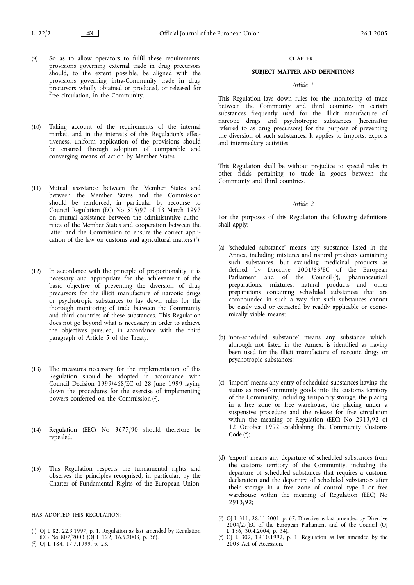- (9) So as to allow operators to fulfil these requirements, provisions governing external trade in drug precursors should, to the extent possible, be aligned with the provisions governing intra-Community trade in drug precursors wholly obtained or produced, or released for free circulation, in the Community.
- (10) Taking account of the requirements of the internal market, and in the interests of this Regulation's effectiveness, uniform application of the provisions should be ensured through adoption of comparable and converging means of action by Member States.
- (11) Mutual assistance between the Member States and between the Member States and the Commission should be reinforced, in particular by recourse to Council Regulation (EC) No 515/97 of 13 March 1997 on mutual assistance between the administrative authorities of the Member States and cooperation between the latter and the Commission to ensure the correct application of the law on customs and agricultural matters (1).
- (12) In accordance with the principle of proportionality, it is necessary and appropriate for the achievement of the basic objective of preventing the diversion of drug precursors for the illicit manufacture of narcotic drugs or psychotropic substances to lay down rules for the thorough monitoring of trade between the Community and third countries of these substances. This Regulation does not go beyond what is necessary in order to achieve the objectives pursued, in accordance with the third paragraph of Article 5 of the Treaty.
- (13) The measures necessary for the implementation of this Regulation should be adopted in accordance with Council Decision 1999/468/EC of 28 June 1999 laying down the procedures for the exercise of implementing powers conferred on the Commission (2).
- (14) Regulation (EEC) No 3677/90 should therefore be repealed.
- (15) This Regulation respects the fundamental rights and observes the principles recognised, in particular, by the Charter of Fundamental Rights of the European Union,

HAS ADOPTED THIS REGULATION:

## CHAPTER I

# **SUBJECT MATTER AND DEFINITIONS**

### *Article 1*

This Regulation lays down rules for the monitoring of trade between the Community and third countries in certain substances frequently used for the illicit manufacture of narcotic drugs and psychotropic substances (hereinafter referred to as drug precursors) for the purpose of preventing the diversion of such substances. It applies to imports, exports and intermediary activities.

This Regulation shall be without prejudice to special rules in other fields pertaining to trade in goods between the Community and third countries.

## *Article 2*

For the purposes of this Regulation the following definitions shall apply:

- (a) 'scheduled substance' means any substance listed in the Annex, including mixtures and natural products containing such substances, but excluding medicinal products as defined by Directive 2001/83/EC of the European Parliament and of the Council (3), pharmaceutical preparations, mixtures, natural products and other preparations containing scheduled substances that are compounded in such a way that such substances cannot be easily used or extracted by readily applicable or economically viable means;
- (b) 'non-scheduled substance' means any substance which, although not listed in the Annex, is identified as having been used for the illicit manufacture of narcotic drugs or psychotropic substances;
- (c) 'import' means any entry of scheduled substances having the status as non-Community goods into the customs territory of the Community, including temporary storage, the placing in a free zone or free warehouse, the placing under a suspensive procedure and the release for free circulation within the meaning of Regulation (EEC) No 2913/92 of 12 October 1992 establishing the Community Customs Code  $(4)$ ;
- (d) 'export' means any departure of scheduled substances from the customs territory of the Community, including the departure of scheduled substances that requires a customs declaration and the departure of scheduled substances after their storage in a free zone of control type I or free warehouse within the meaning of Regulation (EEC) No 2913/92;

<sup>(</sup> 1) OJ L 82, 22.3.1997, p. 1. Regulation as last amended by Regulation (EC) No 807/2003 (OJ L 122, 16.5.2003, p. 36).

<sup>(</sup> 2) OJ L 184, 17.7.1999, p. 23.

<sup>(</sup> 3) OJ L 311, 28.11.2001, p. 67. Directive as last amended by Directive 2004/27/EC of the European Parliament and of the Council (OJ L  $136, 30.4.2004, p. 34$ .

<sup>(</sup> 4) OJ L 302, 19.10.1992, p. 1. Regulation as last amended by the 2003 Act of Accession.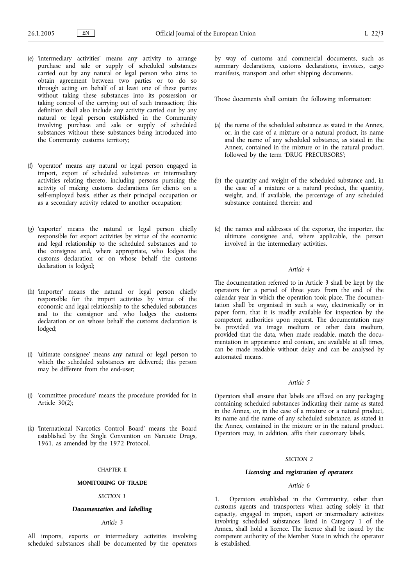- (e) 'intermediary activities' means any activity to arrange purchase and sale or supply of scheduled substances carried out by any natural or legal person who aims to obtain agreement between two parties or to do so through acting on behalf of at least one of these parties without taking these substances into its possession or taking control of the carrying out of such transaction; this definition shall also include any activity carried out by any natural or legal person established in the Community involving purchase and sale or supply of scheduled substances without these substances being introduced into the Community customs territory;
- (f) 'operator' means any natural or legal person engaged in import, export of scheduled substances or intermediary activities relating thereto, including persons pursuing the activity of making customs declarations for clients on a self-employed basis, either as their principal occupation or as a secondary activity related to another occupation;
- (g) 'exporter' means the natural or legal person chiefly responsible for export activities by virtue of the economic and legal relationship to the scheduled substances and to the consignee and, where appropriate, who lodges the customs declaration or on whose behalf the customs declaration is lodged:
- (h) 'importer' means the natural or legal person chiefly responsible for the import activities by virtue of the economic and legal relationship to the scheduled substances and to the consignor and who lodges the customs declaration or on whose behalf the customs declaration is lodged;
- (i) 'ultimate consignee' means any natural or legal person to which the scheduled substances are delivered; this person may be different from the end-user;
- (j) 'committee procedure' means the procedure provided for in Article  $30(\overline{2})$ :
- (k) 'International Narcotics Control Board' means the Board established by the Single Convention on Narcotic Drugs, 1961, as amended by the 1972 Protocol.

### CHAPTER II

# **MONITORING OF TRADE**

# *SECTION 1*

# *Documentation and labelling*

# *Article 3*

All imports, exports or intermediary activities involving scheduled substances shall be documented by the operators by way of customs and commercial documents, such as summary declarations, customs declarations, invoices, cargo manifests, transport and other shipping documents.

Those documents shall contain the following information:

- (a) the name of the scheduled substance as stated in the Annex, or, in the case of a mixture or a natural product, its name and the name of any scheduled substance, as stated in the Annex, contained in the mixture or in the natural product, followed by the term 'DRUG PRECURSORS';
- (b) the quantity and weight of the scheduled substance and, in the case of a mixture or a natural product, the quantity, weight, and, if available, the percentage of any scheduled substance contained therein; and
- (c) the names and addresses of the exporter, the importer, the ultimate consignee and, where applicable, the person involved in the intermediary activities.

# *Article 4*

The documentation referred to in Article 3 shall be kept by the operators for a period of three years from the end of the calendar year in which the operation took place. The documentation shall be organised in such a way, electronically or in paper form, that it is readily available for inspection by the competent authorities upon request. The documentation may be provided via image medium or other data medium, provided that the data, when made readable, match the documentation in appearance and content, are available at all times, can be made readable without delay and can be analysed by automated means.

# *Article 5*

Operators shall ensure that labels are affixed on any packaging containing scheduled substances indicating their name as stated in the Annex, or, in the case of a mixture or a natural product, its name and the name of any scheduled substance, as stated in the Annex, contained in the mixture or in the natural product. Operators may, in addition, affix their customary labels.

# *SECTION 2*

## *Licensing and registration of operators*

# *Article 6*

1. Operators established in the Community, other than customs agents and transporters when acting solely in that capacity, engaged in import, export or intermediary activities involving scheduled substances listed in Category 1 of the Annex, shall hold a licence. The licence shall be issued by the competent authority of the Member State in which the operator is established.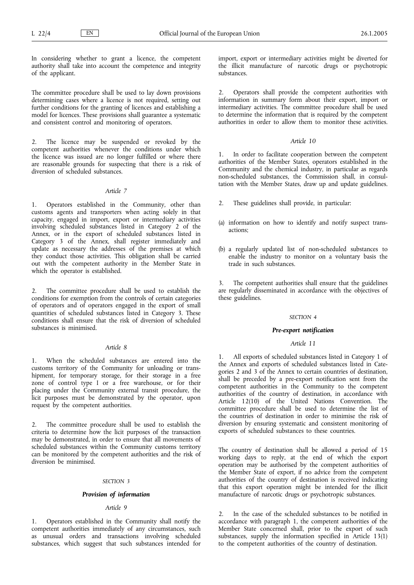In considering whether to grant a licence, the competent authority shall take into account the competence and integrity of the applicant.

The committee procedure shall be used to lay down provisions determining cases where a licence is not required, setting out further conditions for the granting of licences and establishing a model for licences. These provisions shall guarantee a systematic and consistent control and monitoring of operators.

2. The licence may be suspended or revoked by the competent authorities whenever the conditions under which the licence was issued are no longer fulfilled or where there are reasonable grounds for suspecting that there is a risk of diversion of scheduled substances.

# *Article 7*

1. Operators established in the Community, other than customs agents and transporters when acting solely in that capacity, engaged in import, export or intermediary activities involving scheduled substances listed in Category 2 of the Annex, or in the export of scheduled substances listed in Category 3 of the Annex, shall register immediately and update as necessary the addresses of the premises at which they conduct those activities. This obligation shall be carried out with the competent authority in the Member State in which the operator is established.

2. The committee procedure shall be used to establish the conditions for exemption from the controls of certain categories of operators and of operators engaged in the export of small quantities of scheduled substances listed in Category 3. These conditions shall ensure that the risk of diversion of scheduled substances is minimised.

# *Article 8*

1. When the scheduled substances are entered into the customs territory of the Community for unloading or transhipment, for temporary storage, for their storage in a free zone of control type I or a free warehouse, or for their placing under the Community external transit procedure, the licit purposes must be demonstrated by the operator, upon request by the competent authorities.

2. The committee procedure shall be used to establish the criteria to determine how the licit purposes of the transaction may be demonstrated, in order to ensure that all movements of scheduled substances within the Community customs territory can be monitored by the competent authorities and the risk of diversion be minimised.

## *SECTION 3*

## *Provision of information*

# *Article 9*

1. Operators established in the Community shall notify the competent authorities immediately of any circumstances, such as unusual orders and transactions involving scheduled substances, which suggest that such substances intended for

import, export or intermediary activities might be diverted for the illicit manufacture of narcotic drugs or psychotropic substances.

2. Operators shall provide the competent authorities with information in summary form about their export, import or intermediary activities. The committee procedure shall be used to determine the information that is required by the competent authorities in order to allow them to monitor these activities.

# *Article 10*

1. In order to facilitate cooperation between the competent authorities of the Member States, operators established in the Community and the chemical industry, in particular as regards non-scheduled substances, the Commission shall, in consultation with the Member States, draw up and update guidelines.

- 2. These guidelines shall provide, in particular:
- (a) information on how to identify and notify suspect transactions;
- (b) a regularly updated list of non-scheduled substances to enable the industry to monitor on a voluntary basis the trade in such substances.

3. The competent authorities shall ensure that the guidelines are regularly disseminated in accordance with the objectives of these guidelines.

### *SECTION 4*

## *Pre-export notification*

## *Article 11*

All exports of scheduled substances listed in Category 1 of the Annex and exports of scheduled substances listed in Categories 2 and 3 of the Annex to certain countries of destination, shall be preceded by a pre-export notification sent from the competent authorities in the Community to the competent authorities of the country of destination, in accordance with Article 12(10) of the United Nations Convention. The committee procedure shall be used to determine the list of the countries of destination in order to minimise the risk of diversion by ensuring systematic and consistent monitoring of exports of scheduled substances to these countries.

The country of destination shall be allowed a period of 15 working days to reply, at the end of which the export operation may be authorised by the competent authorities of the Member State of export, if no advice from the competent authorities of the country of destination is received indicating that this export operation might be intended for the illicit manufacture of narcotic drugs or psychotropic substances.

2. In the case of the scheduled substances to be notified in accordance with paragraph 1, the competent authorities of the Member State concerned shall, prior to the export of such substances, supply the information specified in Article 13(1) to the competent authorities of the country of destination.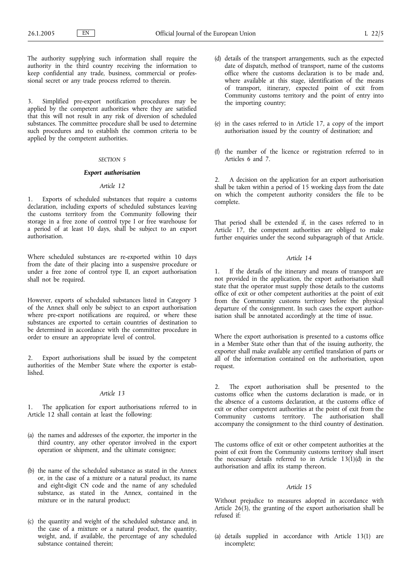The authority supplying such information shall require the authority in the third country receiving the information to keep confidential any trade, business, commercial or professional secret or any trade process referred to therein.

3. Simplified pre-export notification procedures may be applied by the competent authorities where they are satisfied that this will not result in any risk of diversion of scheduled substances. The committee procedure shall be used to determine such procedures and to establish the common criteria to be applied by the competent authorities.

#### *SECTION 5*

## *Export authorisation*

# *Article 12*

1. Exports of scheduled substances that require a customs declaration, including exports of scheduled substances leaving the customs territory from the Community following their storage in a free zone of control type I or free warehouse for a period of at least 10 days, shall be subject to an export authorisation.

Where scheduled substances are re-exported within 10 days from the date of their placing into a suspensive procedure or under a free zone of control type II, an export authorisation shall not be required.

However, exports of scheduled substances listed in Category 3 of the Annex shall only be subject to an export authorisation where pre-export notifications are required, or where these substances are exported to certain countries of destination to be determined in accordance with the committee procedure in order to ensure an appropriate level of control.

2. Export authorisations shall be issued by the competent authorities of the Member State where the exporter is established.

## *Article 13*

1. The application for export authorisations referred to in Article 12 shall contain at least the following:

- (a) the names and addresses of the exporter, the importer in the third country, any other operator involved in the export operation or shipment, and the ultimate consignee;
- (b) the name of the scheduled substance as stated in the Annex or, in the case of a mixture or a natural product, its name and eight-digit CN code and the name of any scheduled substance, as stated in the Annex, contained in the mixture or in the natural product;
- (c) the quantity and weight of the scheduled substance and, in the case of a mixture or a natural product, the quantity, weight, and, if available, the percentage of any scheduled substance contained therein;
- (d) details of the transport arrangements, such as the expected date of dispatch, method of transport, name of the customs office where the customs declaration is to be made and, where available at this stage, identification of the means of transport, itinerary, expected point of exit from Community customs territory and the point of entry into the importing country;
- (e) in the cases referred to in Article 17, a copy of the import authorisation issued by the country of destination; and
- (f) the number of the licence or registration referred to in Articles 6 and 7.

2. A decision on the application for an export authorisation shall be taken within a period of 15 working days from the date on which the competent authority considers the file to be complete.

That period shall be extended if, in the cases referred to in Article 17, the competent authorities are obliged to make further enquiries under the second subparagraph of that Article.

### *Article 14*

1. If the details of the itinerary and means of transport are not provided in the application, the export authorisation shall state that the operator must supply those details to the customs office of exit or other competent authorities at the point of exit from the Community customs territory before the physical departure of the consignment. In such cases the export authorisation shall be annotated accordingly at the time of issue.

Where the export authorisation is presented to a customs office in a Member State other than that of the issuing authority, the exporter shall make available any certified translation of parts or all of the information contained on the authorisation, upon request.

2. The export authorisation shall be presented to the customs office when the customs declaration is made, or in the absence of a customs declaration, at the customs office of exit or other competent authorities at the point of exit from the Community customs territory. The authorisation shall accompany the consignment to the third country of destination.

The customs office of exit or other competent authorities at the point of exit from the Community customs territory shall insert the necessary details referred to in Article  $13(1)(d)$  in the authorisation and affix its stamp thereon.

## *Article 15*

Without prejudice to measures adopted in accordance with Article  $26(3)$ , the granting of the export authorisation shall be refused if:

(a) details supplied in accordance with Article 13(1) are incomplete;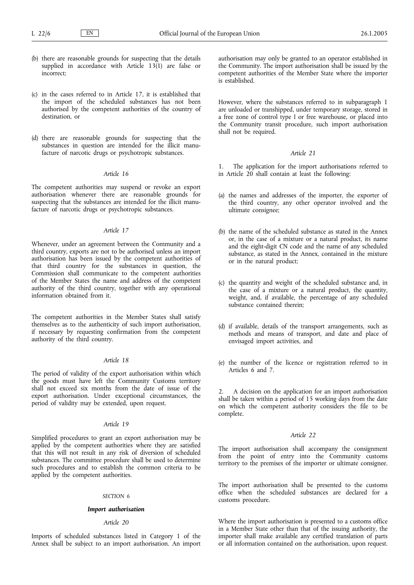- (b) there are reasonable grounds for suspecting that the details supplied in accordance with Article  $13(1)$  are false or incorrect;
- (c) in the cases referred to in Article 17, it is established that the import of the scheduled substances has not been authorised by the competent authorities of the country of destination, or
- (d) there are reasonable grounds for suspecting that the substances in question are intended for the illicit manufacture of narcotic drugs or psychotropic substances.

### *Article 16*

The competent authorities may suspend or revoke an export authorisation whenever there are reasonable grounds for suspecting that the substances are intended for the illicit manufacture of narcotic drugs or psychotropic substances.

# *Article 17*

Whenever, under an agreement between the Community and a third country, exports are not to be authorised unless an import authorisation has been issued by the competent authorities of that third country for the substances in question, the Commission shall communicate to the competent authorities of the Member States the name and address of the competent authority of the third country, together with any operational information obtained from it.

The competent authorities in the Member States shall satisfy themselves as to the authenticity of such import authorisation, if necessary by requesting confirmation from the competent authority of the third country.

## *Article 18*

The period of validity of the export authorisation within which the goods must have left the Community Customs territory shall not exceed six months from the date of issue of the export authorisation. Under exceptional circumstances, the period of validity may be extended, upon request.

# *Article 19*

Simplified procedures to grant an export authorisation may be applied by the competent authorities where they are satisfied that this will not result in any risk of diversion of scheduled substances. The committee procedure shall be used to determine such procedures and to establish the common criteria to be applied by the competent authorities.

#### *SECTION 6*

# *Import authorisation*

## *Article 20*

Imports of scheduled substances listed in Category 1 of the Annex shall be subject to an import authorisation. An import authorisation may only be granted to an operator established in the Community. The import authorisation shall be issued by the competent authorities of the Member State where the importer is established.

However, where the substances referred to in subparagraph 1 are unloaded or transhipped, under temporary storage, stored in a free zone of control type I or free warehouse, or placed into the Community transit procedure, such import authorisation shall not be required.

## *Article 21*

The application for the import authorisations referred to in Article  $20$  shall contain at least the following:

- (a) the names and addresses of the importer, the exporter of the third country, any other operator involved and the ultimate consignee;
- (b) the name of the scheduled substance as stated in the Annex or, in the case of a mixture or a natural product, its name and the eight-digit CN code and the name of any scheduled substance, as stated in the Annex, contained in the mixture or in the natural product;
- (c) the quantity and weight of the scheduled substance and, in the case of a mixture or a natural product, the quantity, weight, and, if available, the percentage of any scheduled substance contained therein;
- (d) if available, details of the transport arrangements, such as methods and means of transport, and date and place of envisaged import activities, and
- (e) the number of the licence or registration referred to in Articles 6 and 7.

2. A decision on the application for an import authorisation shall be taken within a period of 15 working days from the date on which the competent authority considers the file to be complete.

## *Article 22*

The import authorisation shall accompany the consignment from the point of entry into the Community customs territory to the premises of the importer or ultimate consignee.

The import authorisation shall be presented to the customs office when the scheduled substances are declared for a customs procedure.

Where the import authorisation is presented to a customs office in a Member State other than that of the issuing authority, the importer shall make available any certified translation of parts or all information contained on the authorisation, upon request.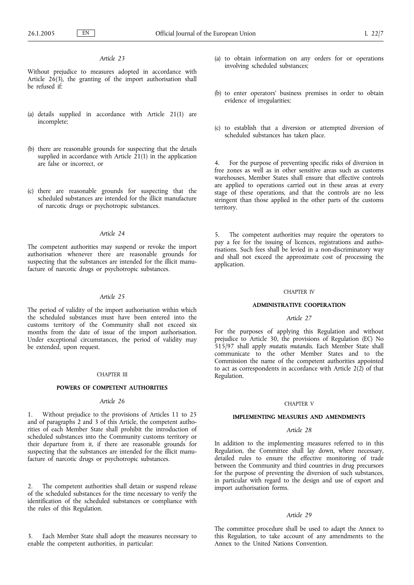# *Article 23*

Without prejudice to measures adopted in accordance with Article  $26(3)$ , the granting of the import authorisation shall be refused if:

- (a) details supplied in accordance with Article 21(1) are incomplete;
- (b) there are reasonable grounds for suspecting that the details supplied in accordance with Article  $21(1)$  in the application are false or incorrect, or
- (c) there are reasonable grounds for suspecting that the scheduled substances are intended for the illicit manufacture of narcotic drugs or psychotropic substances.

## *Article 24*

The competent authorities may suspend or revoke the import authorisation whenever there are reasonable grounds for suspecting that the substances are intended for the illicit manufacture of narcotic drugs or psychotropic substances.

#### *Article 25*

The period of validity of the import authorisation within which the scheduled substances must have been entered into the customs territory of the Community shall not exceed six months from the date of issue of the import authorisation. Under exceptional circumstances, the period of validity may be extended, upon request.

#### CHAPTER III

#### **POWERS OF COMPETENT AUTHORITIES**

## *Article 26*

1. Without prejudice to the provisions of Articles 11 to 25 and of paragraphs 2 and 3 of this Article, the competent authorities of each Member State shall prohibit the introduction of scheduled substances into the Community customs territory or their departure from it, if there are reasonable grounds for suspecting that the substances are intended for the illicit manufacture of narcotic drugs or psychotropic substances.

The competent authorities shall detain or suspend release of the scheduled substances for the time necessary to verify the identification of the scheduled substances or compliance with the rules of this Regulation.

Each Member State shall adopt the measures necessary to enable the competent authorities, in particular:

- (a) to obtain information on any orders for or operations involving scheduled substances;
- (b) to enter operators' business premises in order to obtain evidence of irregularities;
- (c) to establish that a diversion or attempted diversion of scheduled substances has taken place.

4. For the purpose of preventing specific risks of diversion in free zones as well as in other sensitive areas such as customs warehouses, Member States shall ensure that effective controls are applied to operations carried out in these areas at every stage of these operations, and that the controls are no less stringent than those applied in the other parts of the customs territory.

5. The competent authorities may require the operators to pay a fee for the issuing of licences, registrations and authorisations. Such fees shall be levied in a non-discriminatory way and shall not exceed the approximate cost of processing the application.

## CHAPTER IV

#### **ADMINISTRATIVE COOPERATION**

## *Article 27*

For the purposes of applying this Regulation and without prejudice to Article 30, the provisions of Regulation (EC) No 515/97 shall apply *mutatis mutandis*. Each Member State shall communicate to the other Member States and to the Commission the name of the competent authorities appointed to act as correspondents in accordance with Article  $2(\overrightarrow{2})$  of that Regulation.

#### CHAPTER V

### **IMPLEMENTING MEASURES AND AMENDMENTS**

# *Article 28*

In addition to the implementing measures referred to in this Regulation, the Committee shall lay down, where necessary, detailed rules to ensure the effective monitoring of trade between the Community and third countries in drug precursors for the purpose of preventing the diversion of such substances, in particular with regard to the design and use of export and import authorisation forms.

## *Article 29*

The committee procedure shall be used to adapt the Annex to this Regulation, to take account of any amendments to the Annex to the United Nations Convention.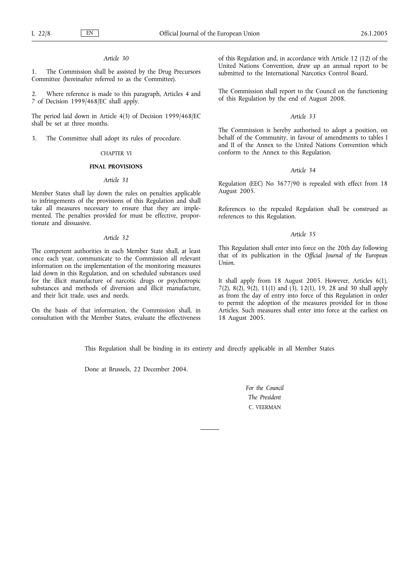## *Article 30*

1. The Commission shall be assisted by the Drug Precursors Committee (hereinafter referred to as the Committee).

2. Where reference is made to this paragraph, Articles 4 and 7 of Decision 1999/468/EC shall apply.

The period laid down in Article 4(3) of Decision 1999/468/EC shall be set at three months.

3. The Committee shall adopt its rules of procedure.

#### CHAPTER VI

# **FINAL PROVISIONS**

## *Article 31*

Member States shall lay down the rules on penalties applicable to infringements of the provisions of this Regulation and shall take all measures necessary to ensure that they are implemented. The penalties provided for must be effective, proportionate and dissuasive.

#### *Article 32*

The competent authorities in each Member State shall, at least once each year, communicate to the Commission all relevant information on the implementation of the monitoring measures laid down in this Regulation, and on scheduled substances used for the illicit manufacture of narcotic drugs or psychotropic substances and methods of diversion and illicit manufacture, and their licit trade, uses and needs.

On the basis of that information, the Commission shall, in consultation with the Member States, evaluate the effectiveness

of this Regulation and, in accordance with Article 12 (12) of the United Nations Convention, draw up an annual report to be submitted to the International Narcotics Control Board.

The Commission shall report to the Council on the functioning of this Regulation by the end of August 2008.

## *Article 33*

The Commission is hereby authorised to adopt a position, on behalf of the Community, in favour of amendments to tables I and II of the Annex to the United Nations Convention which conform to the Annex to this Regulation.

### *Article 34*

Regulation (EEC) No 3677/90 is repealed with effect from 18 August 2005.

References to the repealed Regulation shall be construed as references to this Regulation.

# *Article 35*

This Regulation shall enter into force on the 20th day following that of its publication in the *Official Journal of the European Union*.

It shall apply from 18 August 2005. However, Articles 6(1), 7(2), 8(2), 9(2), 11(1) and (3), 12(1), 19, 28 and 30 shall apply as from the day of entry into force of this Regulation in order to permit the adoption of the measures provided for in those Articles. Such measures shall enter into force at the earliest on 18 August 2005.

This Regulation shall be binding in its entirety and directly applicable in all Member States

Done at Brussels, 22 December 2004.

*For the Council The President* C. VEERMAN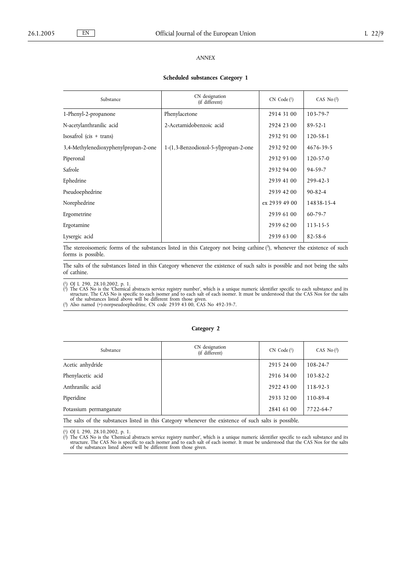# *ANNEX*

#### **Scheduled substances Category 1**

| Substance                            | CN designation<br>(if different)     | $CN$ Code $(^1)$ | CAS No $(2)$   |
|--------------------------------------|--------------------------------------|------------------|----------------|
| 1-Phenyl-2-propanone                 | Phenylacetone                        | 2914 31 00       | 103-79-7       |
| N-acetylanthranilic acid             | 2-Acetamidobenzoic acid              | 2924 23 00       | $89 - 52 - 1$  |
| $Isosafrol$ (cis + trans)            |                                      | 2932 91 00       | 120-58-1       |
| 3,4-Methylenedioxyphenylpropan-2-one | 1-(1,3-Benzodioxol-5-yl)propan-2-one | 2932 92 00       | 4676-39-5      |
| Piperonal                            |                                      | 2932 93 00       | $120 - 57 - 0$ |
| Safrole                              |                                      | 2932 94 00       | $94 - 59 - 7$  |
| Ephedrine                            |                                      | 2939 41 00       | $299 - 42 - 3$ |
| Pseudoephedrine                      |                                      | 2939 42 00       | $90 - 82 - 4$  |
| Norephedrine                         |                                      | ex 2939 49 00    | 14838-15-4     |
| Ergometrine                          |                                      | 2939 61 00       | $60 - 79 - 7$  |
| Ergotamine                           |                                      | 2939 62 00       | 113-15-5       |
| Lysergic acid                        |                                      | 2939 63 00       | $82 - 58 - 6$  |

The stereoisomeric forms of the substances listed in this Category not being cathine  $\binom{3}{2}$ , whenever the existence of such forms is possible.

The salts of the substances listed in this Category whenever the existence of such salts is possible and not being the salts of cathine.

( $\alpha$ ) OJ L 290, 28.10.2002, p. 1.<br>
( $\beta$ ) The CAS No is the 'Chemical abstracts service registry number', which is a unique numeric identifier specific to each substance and its structure. The CAS No is specific to each

## **Category 2**

| Substance                                                                                             | CN designation<br>(if different) | $CN$ Code $(1)$ | CAS No $(2)$   |  |
|-------------------------------------------------------------------------------------------------------|----------------------------------|-----------------|----------------|--|
| Acetic anhydride                                                                                      |                                  | 2915 24 00      | 108-24-7       |  |
| Phenylacetic acid                                                                                     |                                  | 2916 34 00      | $103 - 82 - 2$ |  |
| Anthranilic acid                                                                                      |                                  | 2922 43 00      | $118-92-3$     |  |
| Piperidine                                                                                            |                                  | 2933 32 00      | $110 - 89 - 4$ |  |
| Potassium permanganate                                                                                |                                  | 2841 61 00      | 7722-64-7      |  |
| The salts of the substances listed in this Category whenever the existence of such salts is possible. |                                  |                 |                |  |

(\*) OJ L 290, 28.10.2002, p. 1.<br>
(\*) The CAS No is the Chancial abstracts service registry number', which is a unique numeric identifier specific to each substance and its tructure. The CAS No is specific to each isomer an